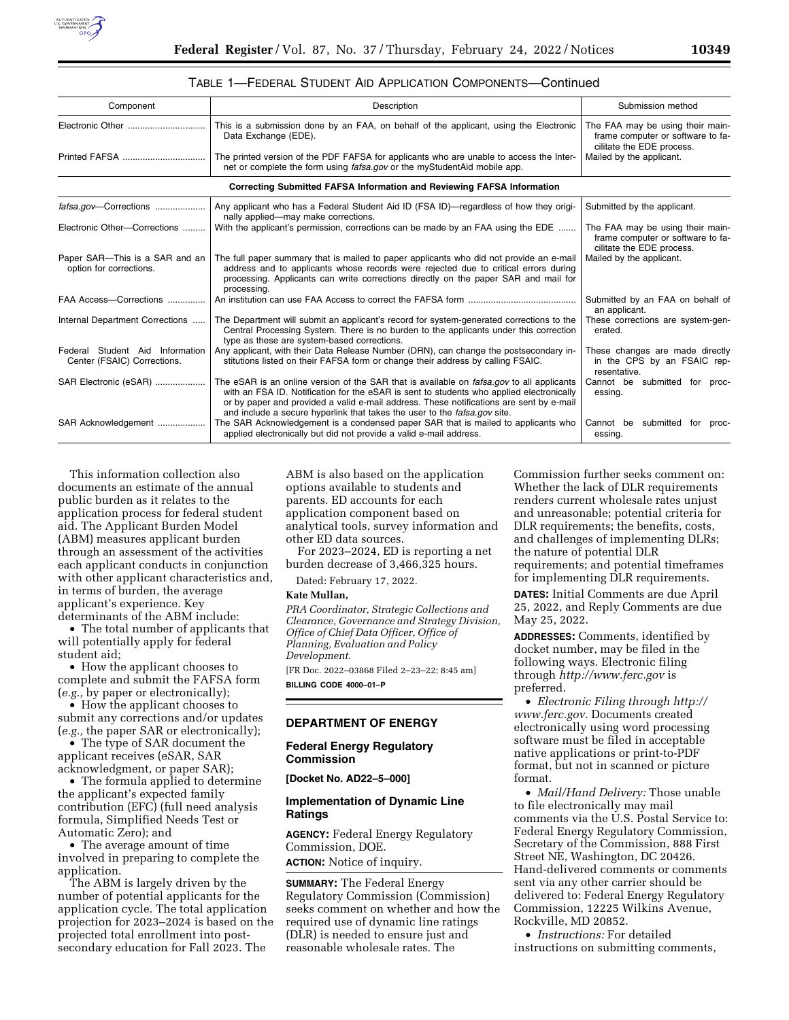

## TABLE 1—FEDERAL STUDENT AID APPLICATION COMPONENTS—Continued

| Component                                                                     | Description                                                                                                                                                                                                                                                                                                                                                          | Submission method                                                                                  |
|-------------------------------------------------------------------------------|----------------------------------------------------------------------------------------------------------------------------------------------------------------------------------------------------------------------------------------------------------------------------------------------------------------------------------------------------------------------|----------------------------------------------------------------------------------------------------|
|                                                                               | This is a submission done by an FAA, on behalf of the applicant, using the Electronic<br>Data Exchange (EDE).                                                                                                                                                                                                                                                        | The FAA may be using their main-<br>frame computer or software to fa-<br>cilitate the EDE process. |
|                                                                               | The printed version of the PDF FAFSA for applicants who are unable to access the Inter-<br>net or complete the form using <i>fafsa.gov</i> or the myStudentAid mobile app.                                                                                                                                                                                           | Mailed by the applicant.                                                                           |
| <b>Correcting Submitted FAFSA Information and Reviewing FAFSA Information</b> |                                                                                                                                                                                                                                                                                                                                                                      |                                                                                                    |
| fafsa.gov-Corrections                                                         | Any applicant who has a Federal Student Aid ID (FSA ID)—regardless of how they origi-                                                                                                                                                                                                                                                                                | Submitted by the applicant.                                                                        |
| Electronic Other-Corrections                                                  | nally applied-may make corrections.<br>With the applicant's permission, corrections can be made by an FAA using the EDE                                                                                                                                                                                                                                              | The FAA may be using their main-<br>frame computer or software to fa-<br>cilitate the EDE process. |
| Paper SAR-This is a SAR and an<br>option for corrections.                     | The full paper summary that is mailed to paper applicants who did not provide an e-mail<br>address and to applicants whose records were rejected due to critical errors during<br>processing. Applicants can write corrections directly on the paper SAR and mail for<br>processing.                                                                                 | Mailed by the applicant.                                                                           |
| FAA Access-Corrections                                                        |                                                                                                                                                                                                                                                                                                                                                                      | Submitted by an FAA on behalf of<br>an applicant.                                                  |
| Internal Department Corrections                                               | The Department will submit an applicant's record for system-generated corrections to the<br>Central Processing System. There is no burden to the applicants under this correction<br>type as these are system-based corrections.                                                                                                                                     | These corrections are system-gen-<br>erated.                                                       |
| Federal Student Aid Information<br>Center (FSAIC) Corrections.                | Any applicant, with their Data Release Number (DRN), can change the postsecondary in-<br>stitutions listed on their FAFSA form or change their address by calling FSAIC.                                                                                                                                                                                             | These changes are made directly<br>in the CPS by an FSAIC rep-<br>resentative.                     |
| SAR Electronic (eSAR)                                                         | The eSAR is an online version of the SAR that is available on <i>fafsa.gov</i> to all applicants<br>with an FSA ID. Notification for the eSAR is sent to students who applied electronically<br>or by paper and provided a valid e-mail address. These notifications are sent by e-mail<br>and include a secure hyperlink that takes the user to the fafsa.gov site. | Cannot be submitted for proc-<br>essing.                                                           |
| SAR Acknowledgement                                                           | The SAR Acknowledgement is a condensed paper SAR that is mailed to applicants who<br>applied electronically but did not provide a valid e-mail address.                                                                                                                                                                                                              | Cannot be<br>submitted<br>for<br>proc-<br>essing.                                                  |

This information collection also documents an estimate of the annual public burden as it relates to the application process for federal student aid. The Applicant Burden Model (ABM) measures applicant burden through an assessment of the activities each applicant conducts in conjunction with other applicant characteristics and, in terms of burden, the average applicant's experience. Key determinants of the ABM include:

• The total number of applicants that will potentially apply for federal student aid;

• How the applicant chooses to complete and submit the FAFSA form (*e.g.,* by paper or electronically);

• How the applicant chooses to submit any corrections and/or updates (*e.g.,* the paper SAR or electronically);

• The type of SAR document the applicant receives (eSAR, SAR acknowledgment, or paper SAR);

• The formula applied to determine the applicant's expected family contribution (EFC) (full need analysis formula, Simplified Needs Test or Automatic Zero); and

• The average amount of time involved in preparing to complete the application.

The ABM is largely driven by the number of potential applicants for the application cycle. The total application projection for 2023–2024 is based on the projected total enrollment into postsecondary education for Fall 2023. The

ABM is also based on the application options available to students and parents. ED accounts for each application component based on analytical tools, survey information and other ED data sources.

For 2023–2024, ED is reporting a net burden decrease of 3,466,325 hours.

Dated: February 17, 2022.

## **Kate Mullan,**

*PRA Coordinator, Strategic Collections and Clearance, Governance and Strategy Division, Office of Chief Data Officer, Office of Planning, Evaluation and Policy Development.*  [FR Doc. 2022–03868 Filed 2–23–22; 8:45 am]

**BILLING CODE 4000–01–P** 

## **DEPARTMENT OF ENERGY**

#### **Federal Energy Regulatory Commission**

**[Docket No. AD22–5–000]** 

### **Implementation of Dynamic Line Ratings**

**AGENCY:** Federal Energy Regulatory Commission, DOE. **ACTION:** Notice of inquiry.

**SUMMARY:** The Federal Energy Regulatory Commission (Commission) seeks comment on whether and how the required use of dynamic line ratings (DLR) is needed to ensure just and reasonable wholesale rates. The

Commission further seeks comment on: Whether the lack of DLR requirements renders current wholesale rates unjust and unreasonable; potential criteria for DLR requirements; the benefits, costs, and challenges of implementing DLRs; the nature of potential DLR requirements; and potential timeframes for implementing DLR requirements.

**DATES:** Initial Comments are due April 25, 2022, and Reply Comments are due May 25, 2022.

**ADDRESSES:** Comments, identified by docket number, may be filed in the following ways. Electronic filing through *<http://www.ferc.gov>*is preferred.

• *Electronic Filing through [http://](http://www.ferc.gov) [www.ferc.gov.](http://www.ferc.gov)* Documents created electronically using word processing software must be filed in acceptable native applications or print-to-PDF format, but not in scanned or picture format.

• *Mail/Hand Delivery:* Those unable to file electronically may mail comments via the U.S. Postal Service to: Federal Energy Regulatory Commission, Secretary of the Commission, 888 First Street NE, Washington, DC 20426. Hand-delivered comments or comments sent via any other carrier should be delivered to: Federal Energy Regulatory Commission, 12225 Wilkins Avenue, Rockville, MD 20852.

• *Instructions:* For detailed instructions on submitting comments,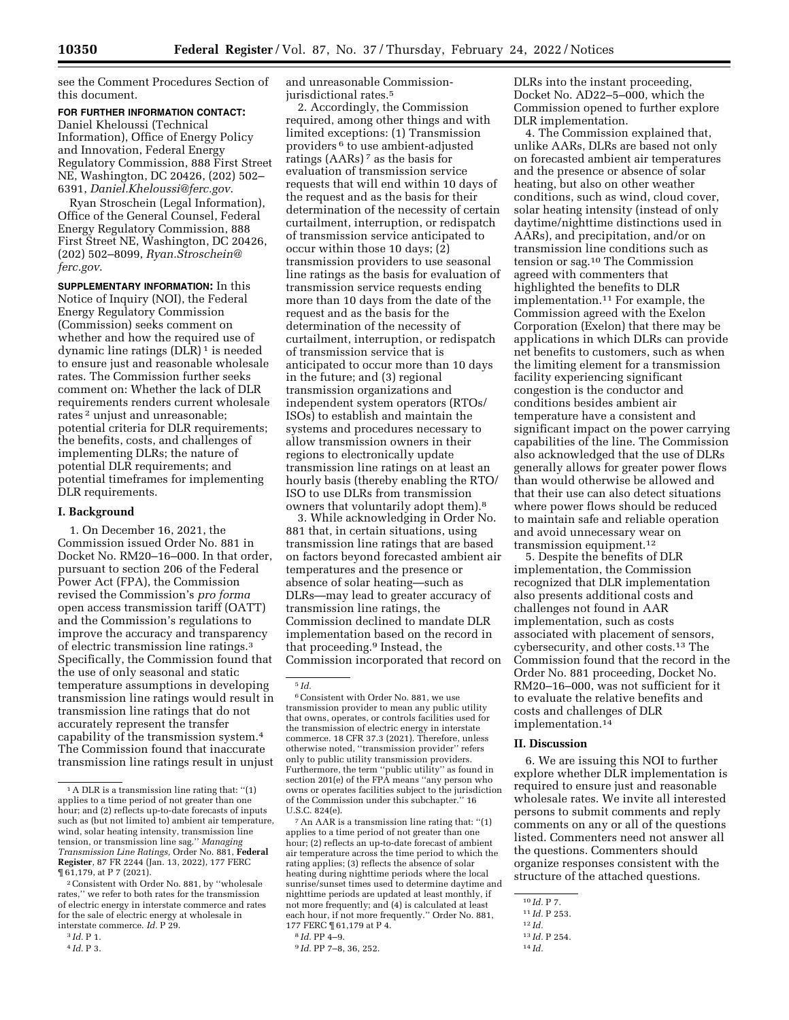see the Comment Procedures Section of this document.

**FOR FURTHER INFORMATION CONTACT:**  Daniel Kheloussi (Technical Information), Office of Energy Policy and Innovation, Federal Energy Regulatory Commission, 888 First Street NE, Washington, DC 20426, (202) 502– 6391, *[Daniel.Kheloussi@ferc.gov](mailto:Daniel.Kheloussi@ferc.gov)*.

Ryan Stroschein (Legal Information), Office of the General Counsel, Federal Energy Regulatory Commission, 888 First Street NE, Washington, DC 20426, (202) 502–8099, *[Ryan.Stroschein@](mailto:Ryan.Stroschein@ferc.gov) [ferc.gov](mailto:Ryan.Stroschein@ferc.gov)*.

**SUPPLEMENTARY INFORMATION:** In this Notice of Inquiry (NOI), the Federal Energy Regulatory Commission (Commission) seeks comment on whether and how the required use of dynamic line ratings (DLR) 1 is needed to ensure just and reasonable wholesale rates. The Commission further seeks comment on: Whether the lack of DLR requirements renders current wholesale rates <sup>2</sup> unjust and unreasonable; potential criteria for DLR requirements; the benefits, costs, and challenges of implementing DLRs; the nature of potential DLR requirements; and potential timeframes for implementing DLR requirements.

#### **I. Background**

1. On December 16, 2021, the Commission issued Order No. 881 in Docket No. RM20–16–000. In that order, pursuant to section 206 of the Federal Power Act (FPA), the Commission revised the Commission's *pro forma*  open access transmission tariff (OATT) and the Commission's regulations to improve the accuracy and transparency of electric transmission line ratings.3 Specifically, the Commission found that the use of only seasonal and static temperature assumptions in developing transmission line ratings would result in transmission line ratings that do not accurately represent the transfer capability of the transmission system.4 The Commission found that inaccurate transmission line ratings result in unjust

2Consistent with Order No. 881, by ''wholesale rates,'' we refer to both rates for the transmission of electric energy in interstate commerce and rates for the sale of electric energy at wholesale in interstate commerce. *Id.* P 29.

and unreasonable Commissionjurisdictional rates.5

2. Accordingly, the Commission required, among other things and with limited exceptions: (1) Transmission providers 6 to use ambient-adjusted ratings (AARs) 7 as the basis for evaluation of transmission service requests that will end within 10 days of the request and as the basis for their determination of the necessity of certain curtailment, interruption, or redispatch of transmission service anticipated to occur within those 10 days; (2) transmission providers to use seasonal line ratings as the basis for evaluation of transmission service requests ending more than 10 days from the date of the request and as the basis for the determination of the necessity of curtailment, interruption, or redispatch of transmission service that is anticipated to occur more than 10 days in the future; and (3) regional transmission organizations and independent system operators (RTOs/ ISOs) to establish and maintain the systems and procedures necessary to allow transmission owners in their regions to electronically update transmission line ratings on at least an hourly basis (thereby enabling the RTO/ ISO to use DLRs from transmission owners that voluntarily adopt them).8

3. While acknowledging in Order No. 881 that, in certain situations, using transmission line ratings that are based on factors beyond forecasted ambient air temperatures and the presence or absence of solar heating—such as DLRs—may lead to greater accuracy of transmission line ratings, the Commission declined to mandate DLR implementation based on the record in that proceeding.9 Instead, the Commission incorporated that record on

6Consistent with Order No. 881, we use transmission provider to mean any public utility that owns, operates, or controls facilities used for the transmission of electric energy in interstate commerce. 18 CFR 37.3 (2021). Therefore, unless otherwise noted, ''transmission provider'' refers only to public utility transmission providers. Furthermore, the term ''public utility'' as found in section 201(e) of the FPA means ''any person who owns or operates facilities subject to the jurisdiction of the Commission under this subchapter.'' 16 U.S.C. 824(e).

7An AAR is a transmission line rating that: ''(1) applies to a time period of not greater than one hour; (2) reflects an up-to-date forecast of ambient air temperature across the time period to which the rating applies; (3) reflects the absence of solar heating during nighttime periods where the local sunrise/sunset times used to determine daytime and nighttime periods are updated at least monthly, if not more frequently; and (4) is calculated at least each hour, if not more frequently.'' Order No. 881, 177 FERC ¶ 61,179 at P 4.

9 *Id.* PP 7–8, 36, 252.

DLRs into the instant proceeding, Docket No. AD22–5–000, which the Commission opened to further explore DLR implementation.

4. The Commission explained that, unlike AARs, DLRs are based not only on forecasted ambient air temperatures and the presence or absence of solar heating, but also on other weather conditions, such as wind, cloud cover, solar heating intensity (instead of only daytime/nighttime distinctions used in AARs), and precipitation, and/or on transmission line conditions such as tension or sag.10 The Commission agreed with commenters that highlighted the benefits to DLR implementation.11 For example, the Commission agreed with the Exelon Corporation (Exelon) that there may be applications in which DLRs can provide net benefits to customers, such as when the limiting element for a transmission facility experiencing significant congestion is the conductor and conditions besides ambient air temperature have a consistent and significant impact on the power carrying capabilities of the line. The Commission also acknowledged that the use of DLRs generally allows for greater power flows than would otherwise be allowed and that their use can also detect situations where power flows should be reduced to maintain safe and reliable operation and avoid unnecessary wear on transmission equipment.12

5. Despite the benefits of DLR implementation, the Commission recognized that DLR implementation also presents additional costs and challenges not found in AAR implementation, such as costs associated with placement of sensors, cybersecurity, and other costs.13 The Commission found that the record in the Order No. 881 proceeding, Docket No. RM20–16–000, was not sufficient for it to evaluate the relative benefits and costs and challenges of DLR implementation.14

## **II. Discussion**

6. We are issuing this NOI to further explore whether DLR implementation is required to ensure just and reasonable wholesale rates. We invite all interested persons to submit comments and reply comments on any or all of the questions listed. Commenters need not answer all the questions. Commenters should organize responses consistent with the structure of the attached questions.

```
14 Id.
```
<sup>1</sup>A DLR is a transmission line rating that: ''(1) applies to a time period of not greater than one hour; and (2) reflects up-to-date forecasts of inputs such as (but not limited to) ambient air temperature, wind, solar heating intensity, transmission line tension, or transmission line sag.'' *Managing Transmission Line Ratings,* Order No. 881, **Federal Register***,* 87 FR 2244 (Jan. 13, 2022), 177 FERC ¶ 61,179, at P 7 (2021).

<sup>3</sup> *Id.* P 1.

<sup>4</sup> *Id.* P 3.

<sup>5</sup> *Id.* 

<sup>8</sup> *Id.* PP 4–9.

<sup>10</sup> *Id.* P 7.

<sup>11</sup> *Id.* P 253.

<sup>12</sup> *Id.* 

<sup>13</sup> *Id.* P 254.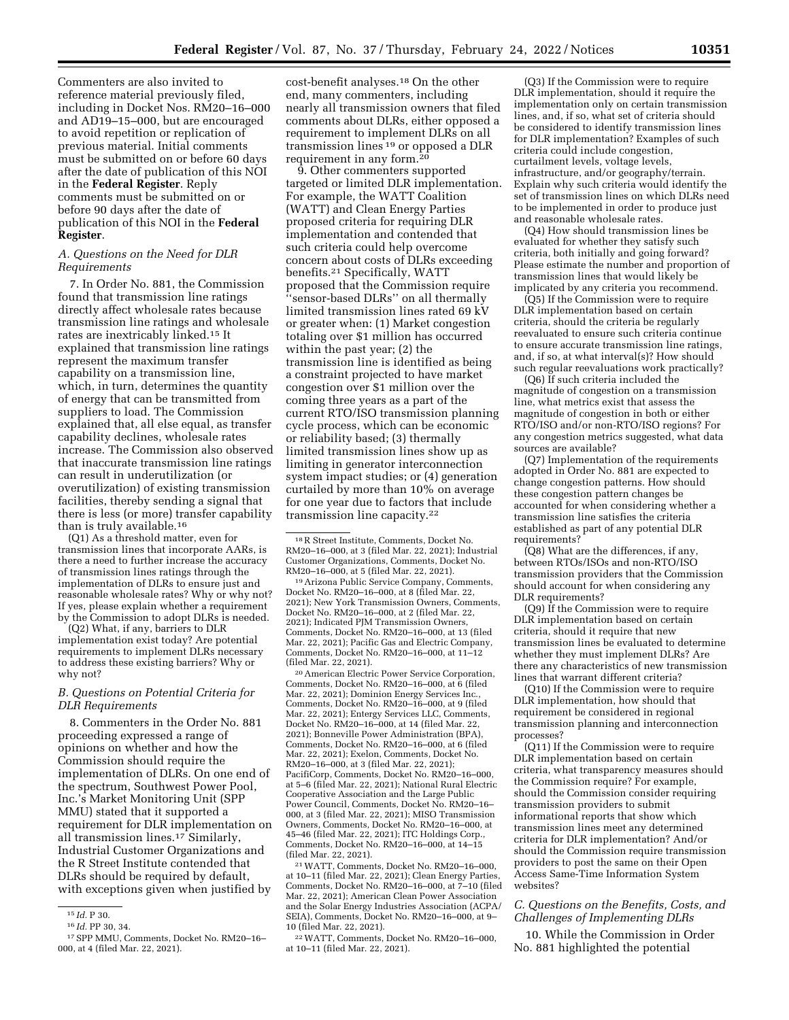Commenters are also invited to reference material previously filed, including in Docket Nos. RM20–16–000 and AD19–15–000, but are encouraged to avoid repetition or replication of previous material. Initial comments must be submitted on or before 60 days after the date of publication of this NOI in the **Federal Register**. Reply comments must be submitted on or before 90 days after the date of publication of this NOI in the **Federal Register**.

## *A. Questions on the Need for DLR Requirements*

7. In Order No. 881, the Commission found that transmission line ratings directly affect wholesale rates because transmission line ratings and wholesale rates are inextricably linked.15 It explained that transmission line ratings represent the maximum transfer capability on a transmission line, which, in turn, determines the quantity of energy that can be transmitted from suppliers to load. The Commission explained that, all else equal, as transfer capability declines, wholesale rates increase. The Commission also observed that inaccurate transmission line ratings can result in underutilization (or overutilization) of existing transmission facilities, thereby sending a signal that there is less (or more) transfer capability than is truly available.16

(Q1) As a threshold matter, even for transmission lines that incorporate AARs, is there a need to further increase the accuracy of transmission lines ratings through the implementation of DLRs to ensure just and reasonable wholesale rates? Why or why not? If yes, please explain whether a requirement by the Commission to adopt DLRs is needed.

(Q2) What, if any, barriers to DLR implementation exist today? Are potential requirements to implement DLRs necessary to address these existing barriers? Why or why not?

## *B. Questions on Potential Criteria for DLR Requirements*

8. Commenters in the Order No. 881 proceeding expressed a range of opinions on whether and how the Commission should require the implementation of DLRs. On one end of the spectrum, Southwest Power Pool, Inc.'s Market Monitoring Unit (SPP MMU) stated that it supported a requirement for DLR implementation on all transmission lines.17 Similarly, Industrial Customer Organizations and the R Street Institute contended that DLRs should be required by default, with exceptions given when justified by

cost-benefit analyses.18 On the other end, many commenters, including nearly all transmission owners that filed comments about DLRs, either opposed a requirement to implement DLRs on all transmission lines 19 or opposed a DLR requirement in any form.20

9. Other commenters supported targeted or limited DLR implementation. For example, the WATT Coalition (WATT) and Clean Energy Parties proposed criteria for requiring DLR implementation and contended that such criteria could help overcome concern about costs of DLRs exceeding benefits.21 Specifically, WATT proposed that the Commission require 'sensor-based DLRs'' on all thermally limited transmission lines rated 69 kV or greater when: (1) Market congestion totaling over \$1 million has occurred within the past year; (2) the transmission line is identified as being a constraint projected to have market congestion over \$1 million over the coming three years as a part of the current RTO/ISO transmission planning cycle process, which can be economic or reliability based; (3) thermally limited transmission lines show up as limiting in generator interconnection system impact studies; or (4) generation curtailed by more than 10% on average for one year due to factors that include transmission line capacity.22

<sup>19</sup> Arizona Public Service Company, Comments, Docket No. RM20–16–000, at 8 (filed Mar. 22, 2021); New York Transmission Owners, Comments, Docket No. RM20–16–000, at 2 (filed Mar. 22, 2021); Indicated PJM Transmission Owners, Comments, Docket No. RM20–16–000, at 13 (filed Mar. 22, 2021); Pacific Gas and Electric Company, Comments, Docket No. RM20–16–000, at 11–12 (filed Mar. 22, 2021).

20American Electric Power Service Corporation, Comments, Docket No. RM20–16–000, at 6 (filed Mar. 22, 2021); Dominion Energy Services Inc. Comments, Docket No. RM20–16–000, at 9 (filed Mar. 22, 2021); Entergy Services LLC, Comments, Docket No. RM20–16–000, at 14 (filed Mar. 22, 2021); Bonneville Power Administration (BPA), Comments, Docket No. RM20–16–000, at 6 (filed Mar. 22, 2021); Exelon, Comments, Docket No. RM20–16–000, at 3 (filed Mar. 22, 2021); PacifiCorp, Comments, Docket No. RM20–16–000, at 5–6 (filed Mar. 22, 2021); National Rural Electric Cooperative Association and the Large Public Power Council, Comments, Docket No. RM20–16– 000, at 3 (filed Mar. 22, 2021); MISO Transmission Owners, Comments, Docket No. RM20–16–000, at 45–46 (filed Mar. 22, 2021); ITC Holdings Corp., Comments, Docket No. RM20–16–000, at 14–15 (filed Mar. 22, 2021).

21WATT, Comments, Docket No. RM20–16–000, at 10–11 (filed Mar. 22, 2021); Clean Energy Parties, Comments, Docket No. RM20–16–000, at 7–10 (filed Mar. 22, 2021); American Clean Power Association and the Solar Energy Industries Association (ACPA/ SEIA), Comments, Docket No. RM20–16–000, at 9– 10 (filed Mar. 22, 2021).

22WATT, Comments, Docket No. RM20–16–000, at 10–11 (filed Mar. 22, 2021).

(Q3) If the Commission were to require DLR implementation, should it require the implementation only on certain transmission lines, and, if so, what set of criteria should be considered to identify transmission lines for DLR implementation? Examples of such criteria could include congestion, curtailment levels, voltage levels, infrastructure, and/or geography/terrain. Explain why such criteria would identify the set of transmission lines on which DLRs need to be implemented in order to produce just and reasonable wholesale rates.

(Q4) How should transmission lines be evaluated for whether they satisfy such criteria, both initially and going forward? Please estimate the number and proportion of transmission lines that would likely be implicated by any criteria you recommend.

(Q5) If the Commission were to require DLR implementation based on certain criteria, should the criteria be regularly reevaluated to ensure such criteria continue to ensure accurate transmission line ratings, and, if so, at what interval(s)? How should such regular reevaluations work practically?

(Q6) If such criteria included the magnitude of congestion on a transmission line, what metrics exist that assess the magnitude of congestion in both or either RTO/ISO and/or non-RTO/ISO regions? For any congestion metrics suggested, what data sources are available?

(Q7) Implementation of the requirements adopted in Order No. 881 are expected to change congestion patterns. How should these congestion pattern changes be accounted for when considering whether a transmission line satisfies the criteria established as part of any potential DLR requirements?

(Q8) What are the differences, if any, between RTOs/ISOs and non-RTO/ISO transmission providers that the Commission should account for when considering any DLR requirements?

(Q9) If the Commission were to require DLR implementation based on certain criteria, should it require that new transmission lines be evaluated to determine whether they must implement DLRs? Are there any characteristics of new transmission lines that warrant different criteria?

(Q10) If the Commission were to require DLR implementation, how should that requirement be considered in regional transmission planning and interconnection processes?

(Q11) If the Commission were to require DLR implementation based on certain criteria, what transparency measures should the Commission require? For example, should the Commission consider requiring transmission providers to submit informational reports that show which transmission lines meet any determined criteria for DLR implementation? And/or should the Commission require transmission providers to post the same on their Open Access Same-Time Information System websites?

## *C. Questions on the Benefits, Costs, and Challenges of Implementing DLRs*

10. While the Commission in Order No. 881 highlighted the potential

<sup>15</sup> *Id.* P 30.

<sup>16</sup> *Id.* PP 30, 34.

<sup>17</sup>SPP MMU, Comments, Docket No. RM20–16– 000, at 4 (filed Mar. 22, 2021).

<sup>18</sup>R Street Institute, Comments, Docket No. RM20–16–000, at 3 (filed Mar. 22, 2021); Industrial Customer Organizations, Comments, Docket No.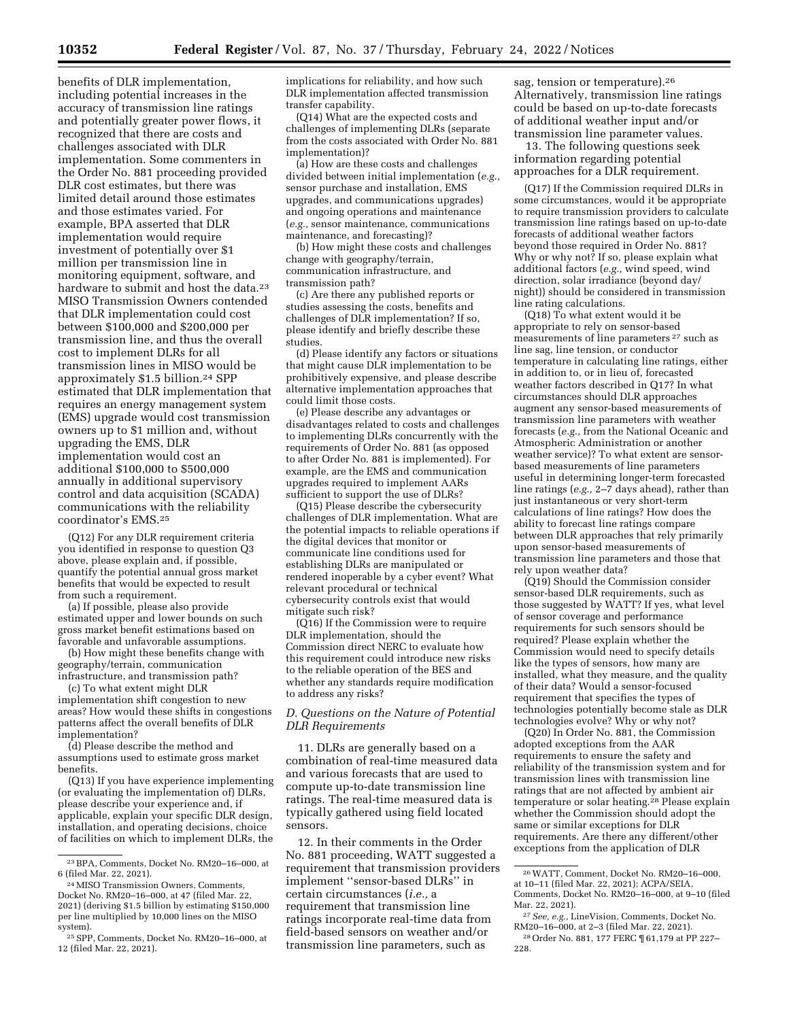benefits of DLR implementation, including potential increases in the accuracy of transmission line ratings and potentially greater power flows, it recognized that there are costs and challenges associated with DLR implementation. Some commenters in the Order No. 881 proceeding provided DLR cost estimates, but there was limited detail around those estimates and those estimates varied. For example, BPA asserted that DLR implementation would require investment of potentially over \$1 million per transmission line in monitoring equipment, software, and hardware to submit and host the data.<sup>23</sup> MISO Transmission Owners contended that DLR implementation could cost between \$100,000 and \$200,000 per transmission line, and thus the overall cost to implement DLRs for all transmission lines in MISO would be approximately \$1.5 billion.24 SPP estimated that DLR implementation that requires an energy management system (EMS) upgrade would cost transmission owners up to \$1 million and, without upgrading the EMS, DLR implementation would cost an additional \$100,000 to \$500,000 annually in additional supervisory control and data acquisition (SCADA) communications with the reliability coordinator's EMS.25

(Q12) For any DLR requirement criteria you identified in response to question Q3 above, please explain and, if possible, quantify the potential annual gross market benefits that would be expected to result from such a requirement.

(a) If possible, please also provide estimated upper and lower bounds on such gross market benefit estimations based on favorable and unfavorable assumptions.

(b) How might these benefits change with geography/terrain, communication infrastructure, and transmission path?

(c) To what extent might DLR implementation shift congestion to new areas? How would these shifts in congestions patterns affect the overall benefits of DLR implementation?

(d) Please describe the method and assumptions used to estimate gross market benefits.

(Q13) If you have experience implementing (or evaluating the implementation of) DLRs, please describe your experience and, if applicable, explain your specific DLR design, installation, and operating decisions, choice of facilities on which to implement DLRs, the implications for reliability, and how such DLR implementation affected transmission transfer capability.

(Q14) What are the expected costs and challenges of implementing DLRs (separate from the costs associated with Order No. 881 implementation)?

(a) How are these costs and challenges divided between initial implementation (*e.g.,*  sensor purchase and installation, EMS upgrades, and communications upgrades) and ongoing operations and maintenance (*e.g.,* sensor maintenance, communications maintenance, and forecasting)?

(b) How might these costs and challenges change with geography/terrain, communication infrastructure, and transmission path?

(c) Are there any published reports or studies assessing the costs, benefits and challenges of DLR implementation? If so, please identify and briefly describe these studies.

(d) Please identify any factors or situations that might cause DLR implementation to be prohibitively expensive, and please describe alternative implementation approaches that could limit those costs.

(e) Please describe any advantages or disadvantages related to costs and challenges to implementing DLRs concurrently with the requirements of Order No. 881 (as opposed to after Order No. 881 is implemented). For example, are the EMS and communication upgrades required to implement AARs sufficient to support the use of DLRs?

(Q15) Please describe the cybersecurity challenges of DLR implementation. What are the potential impacts to reliable operations if the digital devices that monitor or communicate line conditions used for establishing DLRs are manipulated or rendered inoperable by a cyber event? What relevant procedural or technical cybersecurity controls exist that would mitigate such risk?

(Q16) If the Commission were to require DLR implementation, should the Commission direct NERC to evaluate how this requirement could introduce new risks to the reliable operation of the BES and whether any standards require modification to address any risks?

## *D. Questions on the Nature of Potential DLR Requirements*

11. DLRs are generally based on a combination of real-time measured data and various forecasts that are used to compute up-to-date transmission line ratings. The real-time measured data is typically gathered using field located sensors.

12. In their comments in the Order No. 881 proceeding, WATT suggested a requirement that transmission providers implement ''sensor-based DLRs'' in certain circumstances (*i.e.,* a requirement that transmission line ratings incorporate real-time data from field-based sensors on weather and/or transmission line parameters, such as

sag, tension or temperature).<sup>26</sup> Alternatively, transmission line ratings could be based on up-to-date forecasts of additional weather input and/or transmission line parameter values.

13. The following questions seek information regarding potential approaches for a DLR requirement.

(Q17) If the Commission required DLRs in some circumstances, would it be appropriate to require transmission providers to calculate transmission line ratings based on up-to-date forecasts of additional weather factors beyond those required in Order No. 881? Why or why not? If so, please explain what additional factors (*e.g.,* wind speed, wind direction, solar irradiance (beyond day/ night)) should be considered in transmission line rating calculations.

(Q18) To what extent would it be appropriate to rely on sensor-based measurements of line parameters 27 such as line sag, line tension, or conductor temperature in calculating line ratings, either in addition to, or in lieu of, forecasted weather factors described in Q17? In what circumstances should DLR approaches augment any sensor-based measurements of transmission line parameters with weather forecasts (*e.g.,* from the National Oceanic and Atmospheric Administration or another weather service)? To what extent are sensorbased measurements of line parameters useful in determining longer-term forecasted line ratings (*e.g.,* 2–7 days ahead), rather than just instantaneous or very short-term calculations of line ratings? How does the ability to forecast line ratings compare between DLR approaches that rely primarily upon sensor-based measurements of transmission line parameters and those that rely upon weather data?

(Q19) Should the Commission consider sensor-based DLR requirements, such as those suggested by WATT? If yes, what level of sensor coverage and performance requirements for such sensors should be required? Please explain whether the Commission would need to specify details like the types of sensors, how many are installed, what they measure, and the quality of their data? Would a sensor-focused requirement that specifies the types of technologies potentially become stale as DLR technologies evolve? Why or why not?

(Q20) In Order No. 881, the Commission adopted exceptions from the AAR requirements to ensure the safety and reliability of the transmission system and for transmission lines with transmission line ratings that are not affected by ambient air temperature or solar heating.<sup>28</sup> Please explain whether the Commission should adopt the same or similar exceptions for DLR requirements. Are there any different/other exceptions from the application of DLR

<sup>23</sup>BPA, Comments, Docket No. RM20–16–000, at 6 (filed Mar. 22, 2021).

<sup>24</sup>MISO Transmission Owners, Comments, Docket No. RM20–16–000, at 47 (filed Mar. 22, 2021) (deriving \$1.5 billion by estimating \$150,000 per line multiplied by 10,000 lines on the MISO system).

<sup>25</sup>SPP, Comments, Docket No. RM20–16–000, at 12 (filed Mar. 22, 2021).

<sup>26</sup>WATT, Comment, Docket No. RM20–16–000, at 10–11 (filed Mar. 22, 2021); ACPA/SEIA, Comments, Docket No. RM20–16–000, at 9–10 (filed Mar. 22, 2021).

<sup>27</sup>*See, e.g.,* LineVision, Comments, Docket No. RM20–16–000, at 2–3 (filed Mar. 22, 2021).

<sup>28</sup>Order No. 881, 177 FERC ¶ 61,179 at PP 227– 228.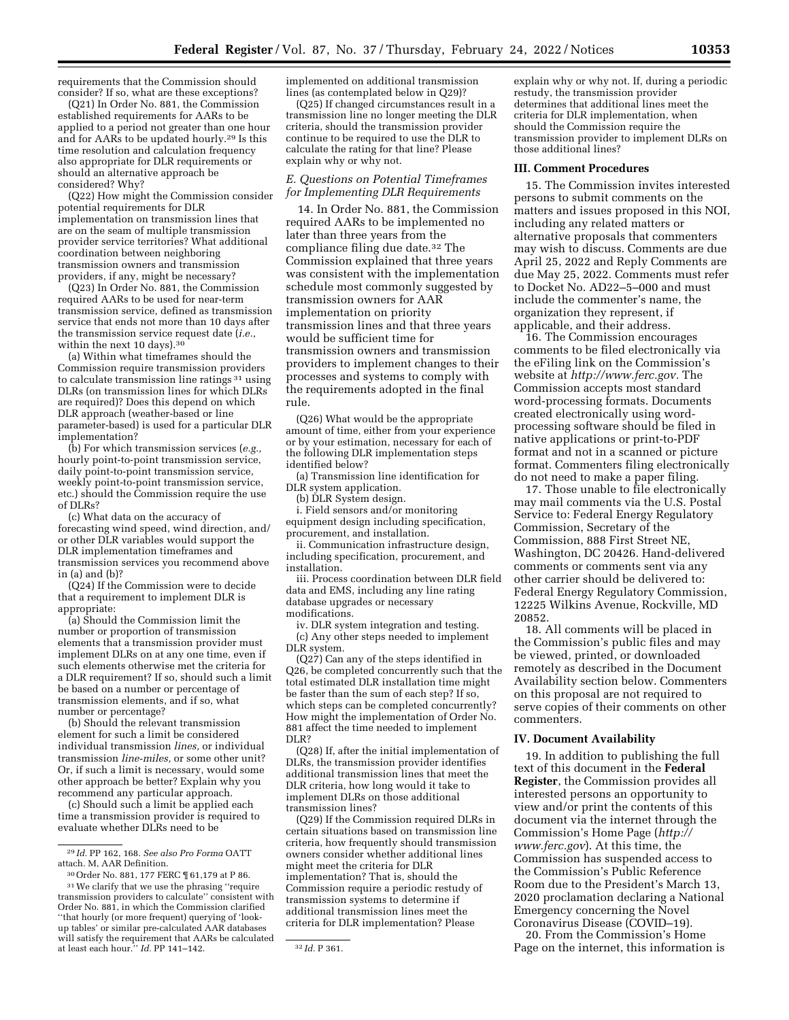requirements that the Commission should consider? If so, what are these exceptions?

(Q21) In Order No. 881, the Commission established requirements for AARs to be applied to a period not greater than one hour and for AARs to be updated hourly.29 Is this time resolution and calculation frequency also appropriate for DLR requirements or should an alternative approach be considered? Why?

(Q22) How might the Commission consider potential requirements for DLR implementation on transmission lines that are on the seam of multiple transmission provider service territories? What additional coordination between neighboring transmission owners and transmission providers, if any, might be necessary?

(Q23) In Order No. 881, the Commission required AARs to be used for near-term transmission service, defined as transmission service that ends not more than 10 days after the transmission service request date (*i.e.,*  within the next 10 days).30

(a) Within what timeframes should the Commission require transmission providers to calculate transmission line ratings 31 using DLRs (on transmission lines for which DLRs are required)? Does this depend on which DLR approach (weather-based or line parameter-based) is used for a particular DLR implementation?

(b) For which transmission services (*e.g.,*  hourly point-to-point transmission service, daily point-to-point transmission service, weekly point-to-point transmission service, etc.) should the Commission require the use of DLRs?

(c) What data on the accuracy of forecasting wind speed, wind direction, and/ or other DLR variables would support the DLR implementation timeframes and transmission services you recommend above in (a) and (b)?

(Q24) If the Commission were to decide that a requirement to implement DLR is appropriate:

(a) Should the Commission limit the number or proportion of transmission elements that a transmission provider must implement DLRs on at any one time, even if such elements otherwise met the criteria for a DLR requirement? If so, should such a limit be based on a number or percentage of transmission elements, and if so, what number or percentage?

(b) Should the relevant transmission element for such a limit be considered individual transmission *lines,* or individual transmission *line-miles,* or some other unit? Or, if such a limit is necessary, would some other approach be better? Explain why you recommend any particular approach.

(c) Should such a limit be applied each time a transmission provider is required to evaluate whether DLRs need to be

implemented on additional transmission lines (as contemplated below in Q29)?

(Q25) If changed circumstances result in a transmission line no longer meeting the DLR criteria, should the transmission provider continue to be required to use the DLR to calculate the rating for that line? Please explain why or why not.

## *E. Questions on Potential Timeframes for Implementing DLR Requirements*

14. In Order No. 881, the Commission required AARs to be implemented no later than three years from the compliance filing due date.32 The Commission explained that three years was consistent with the implementation schedule most commonly suggested by transmission owners for AAR implementation on priority transmission lines and that three years would be sufficient time for transmission owners and transmission providers to implement changes to their processes and systems to comply with the requirements adopted in the final rule.

(Q26) What would be the appropriate amount of time, either from your experience or by your estimation, necessary for each of the following DLR implementation steps identified below?

(a) Transmission line identification for DLR system application.

(b) DLR System design.

i. Field sensors and/or monitoring equipment design including specification, procurement, and installation.

ii. Communication infrastructure design, including specification, procurement, and installation.

iii. Process coordination between DLR field data and EMS, including any line rating database upgrades or necessary modifications.

iv. DLR system integration and testing. (c) Any other steps needed to implement DLR system.

(Q27) Can any of the steps identified in Q26, be completed concurrently such that the total estimated DLR installation time might be faster than the sum of each step? If so, which steps can be completed concurrently? How might the implementation of Order No. 881 affect the time needed to implement DLR?

(Q28) If, after the initial implementation of DLRs, the transmission provider identifies additional transmission lines that meet the DLR criteria, how long would it take to implement DLRs on those additional transmission lines?

(Q29) If the Commission required DLRs in certain situations based on transmission line criteria, how frequently should transmission owners consider whether additional lines might meet the criteria for DLR implementation? That is, should the Commission require a periodic restudy of transmission systems to determine if additional transmission lines meet the criteria for DLR implementation? Please

explain why or why not. If, during a periodic restudy, the transmission provider determines that additional lines meet the criteria for DLR implementation, when should the Commission require the transmission provider to implement DLRs on those additional lines?

#### **III. Comment Procedures**

15. The Commission invites interested persons to submit comments on the matters and issues proposed in this NOI, including any related matters or alternative proposals that commenters may wish to discuss. Comments are due April 25, 2022 and Reply Comments are due May 25, 2022. Comments must refer to Docket No. AD22–5–000 and must include the commenter's name, the organization they represent, if applicable, and their address.

16. The Commission encourages comments to be filed electronically via the eFiling link on the Commission's website at *[http://www.ferc.gov.](http://www.ferc.gov)* The Commission accepts most standard word-processing formats. Documents created electronically using wordprocessing software should be filed in native applications or print-to-PDF format and not in a scanned or picture format. Commenters filing electronically do not need to make a paper filing.

17. Those unable to file electronically may mail comments via the U.S. Postal Service to: Federal Energy Regulatory Commission, Secretary of the Commission, 888 First Street NE, Washington, DC 20426. Hand-delivered comments or comments sent via any other carrier should be delivered to: Federal Energy Regulatory Commission, 12225 Wilkins Avenue, Rockville, MD 20852.

18. All comments will be placed in the Commission's public files and may be viewed, printed, or downloaded remotely as described in the Document Availability section below. Commenters on this proposal are not required to serve copies of their comments on other commenters.

#### **IV. Document Availability**

19. In addition to publishing the full text of this document in the **Federal Register**, the Commission provides all interested persons an opportunity to view and/or print the contents of this document via the internet through the Commission's Home Page (*[http://](http://www.ferc.gov) [www.ferc.gov](http://www.ferc.gov)*). At this time, the Commission has suspended access to the Commission's Public Reference Room due to the President's March 13, 2020 proclamation declaring a National Emergency concerning the Novel Coronavirus Disease (COVID–19).

20. From the Commission's Home Page on the internet, this information is

<sup>29</sup> *Id.* PP 162, 168. *See also Pro Forma* OATT attach. M, AAR Definition.

<sup>30</sup>Order No. 881, 177 FERC ¶ 61,179 at P 86. 31We clarify that we use the phrasing ''require transmission providers to calculate'' consistent with Order No. 881, in which the Commission clarified ''that hourly (or more frequent) querying of 'lookup tables' or similar pre-calculated AAR databases will satisfy the requirement that AARs be calculated  $\frac{32 \text{ Id. P 361}}{32 \text{ Id. P 361}}$